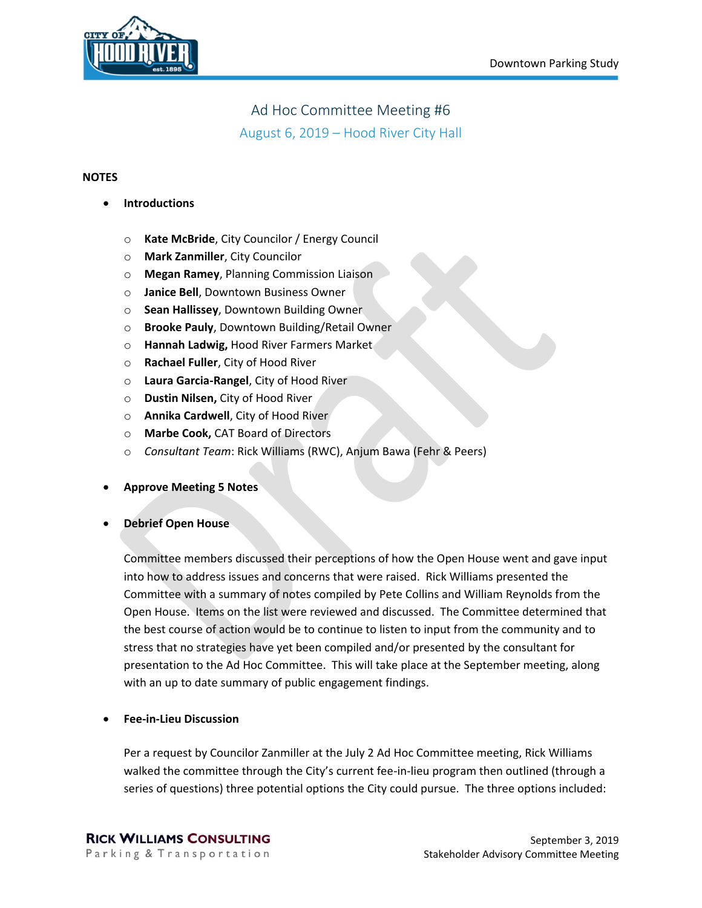

## Ad Hoc Committee Meeting #6

August 6, 2019 – Hood River City Hall

## **NOTES**

- **Introductions**
	- o **Kate McBride**, City Councilor / Energy Council
	- o **Mark Zanmiller**, City Councilor
	- o **Megan Ramey**, Planning Commission Liaison
	- o **Janice Bell**, Downtown Business Owner
	- o **Sean Hallissey**, Downtown Building Owner
	- o **Brooke Pauly**, Downtown Building/Retail Owner
	- o **Hannah Ladwig,** Hood River Farmers Market
	- o **Rachael Fuller**, City of Hood River
	- o **Laura Garcia-Rangel**, City of Hood River
	- o **Dustin Nilsen,** City of Hood River
	- o **Annika Cardwell**, City of Hood River
	- o **Marbe Cook,** CAT Board of Directors
	- o *Consultant Team*: Rick Williams (RWC), Anjum Bawa (Fehr & Peers)
- **Approve Meeting 5 Notes**

## • **Debrief Open House**

Committee members discussed their perceptions of how the Open House went and gave input into how to address issues and concerns that were raised. Rick Williams presented the Committee with a summary of notes compiled by Pete Collins and William Reynolds from the Open House. Items on the list were reviewed and discussed. The Committee determined that the best course of action would be to continue to listen to input from the community and to stress that no strategies have yet been compiled and/or presented by the consultant for presentation to the Ad Hoc Committee. This will take place at the September meeting, along with an up to date summary of public engagement findings.

• **Fee-in-Lieu Discussion**

Per a request by Councilor Zanmiller at the July 2 Ad Hoc Committee meeting, Rick Williams walked the committee through the City's current fee-in-lieu program then outlined (through a series of questions) three potential options the City could pursue. The three options included: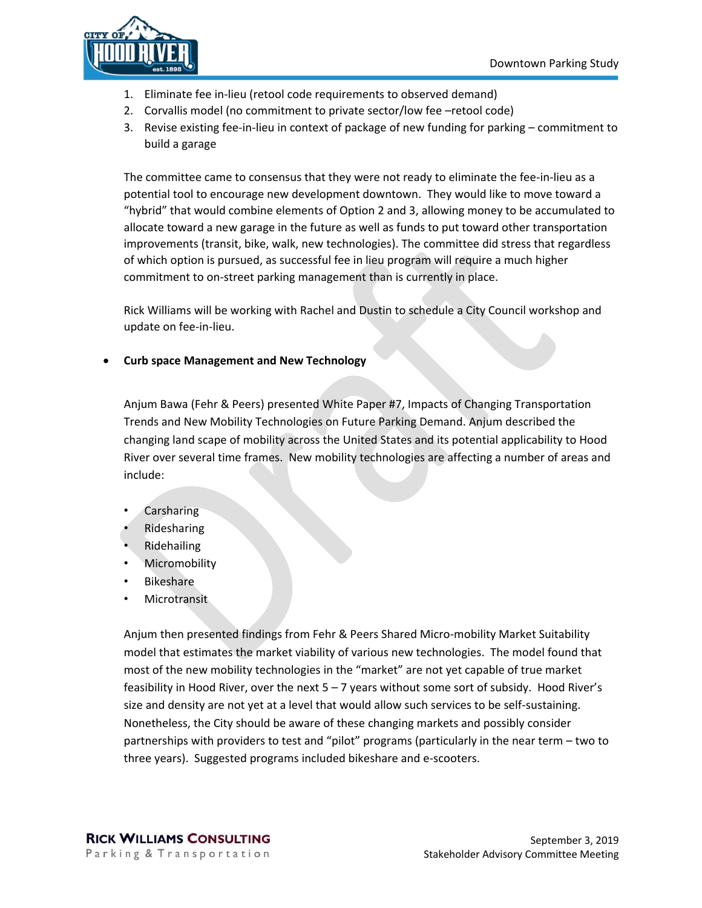

- 1. Eliminate fee in-lieu (retool code requirements to observed demand)
- 2. Corvallis model (no commitment to private sector/low fee –retool code)
- 3. Revise existing fee-in-lieu in context of package of new funding for parking commitment to build a garage

The committee came to consensus that they were not ready to eliminate the fee-in-lieu as a potential tool to encourage new development downtown. They would like to move toward a "hybrid" that would combine elements of Option 2 and 3, allowing money to be accumulated to allocate toward a new garage in the future as well as funds to put toward other transportation improvements (transit, bike, walk, new technologies). The committee did stress that regardless of which option is pursued, as successful fee in lieu program will require a much higher commitment to on-street parking management than is currently in place.

Rick Williams will be working with Rachel and Dustin to schedule a City Council workshop and update on fee-in-lieu.

• **Curb space Management and New Technology**

Anjum Bawa (Fehr & Peers) presented White Paper #7, Impacts of Changing Transportation Trends and New Mobility Technologies on Future Parking Demand. Anjum described the changing land scape of mobility across the United States and its potential applicability to Hood River over several time frames. New mobility technologies are affecting a number of areas and include:

- **Carsharing**
- **Ridesharing**
- Ridehailing
- **Micromobility**
- **Bikeshare**
- **Microtransit**

Anjum then presented findings from Fehr & Peers Shared Micro-mobility Market Suitability model that estimates the market viability of various new technologies. The model found that most of the new mobility technologies in the "market" are not yet capable of true market feasibility in Hood River, over the next 5 – 7 years without some sort of subsidy. Hood River's size and density are not yet at a level that would allow such services to be self-sustaining. Nonetheless, the City should be aware of these changing markets and possibly consider partnerships with providers to test and "pilot" programs (particularly in the near term – two to three years). Suggested programs included bikeshare and e-scooters.